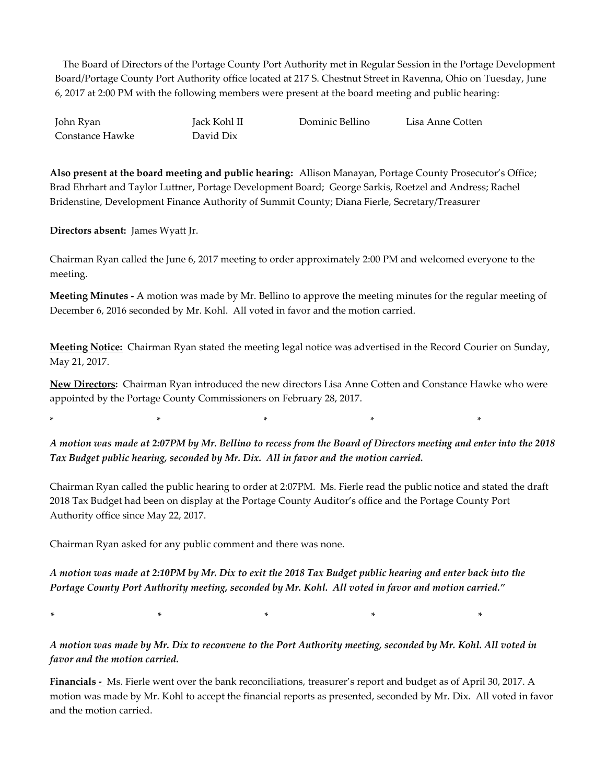The Board of Directors of the Portage County Port Authority met in Regular Session in the Portage Development Board/Portage County Port Authority office located at 217 S. Chestnut Street in Ravenna, Ohio on Tuesday, June 6, 2017 at 2:00 PM with the following members were present at the board meeting and public hearing:

John Ryan Jack Kohl II Dominic Bellino Lisa Anne Cotten Constance Hawke David Dix

**Also present at the board meeting and public hearing:** Allison Manayan, Portage County Prosecutor's Office; Brad Ehrhart and Taylor Luttner, Portage Development Board; George Sarkis, Roetzel and Andress; Rachel Bridenstine, Development Finance Authority of Summit County; Diana Fierle, Secretary/Treasurer

**Directors absent:** James Wyatt Jr.

Chairman Ryan called the June 6, 2017 meeting to order approximately 2:00 PM and welcomed everyone to the meeting.

**Meeting Minutes -** A motion was made by Mr. Bellino to approve the meeting minutes for the regular meeting of December 6, 2016 seconded by Mr. Kohl. All voted in favor and the motion carried.

**Meeting Notice:** Chairman Ryan stated the meeting legal notice was advertised in the Record Courier on Sunday, May 21, 2017.

**New Directors:** Chairman Ryan introduced the new directors Lisa Anne Cotten and Constance Hawke who were appointed by the Portage County Commissioners on February 28, 2017.

\* \* \* \* \*

*A motion was made at 2:07PM by Mr. Bellino to recess from the Board of Directors meeting and enter into the 2018 Tax Budget public hearing, seconded by Mr. Dix. All in favor and the motion carried.*

Chairman Ryan called the public hearing to order at 2:07PM. Ms. Fierle read the public notice and stated the draft 2018 Tax Budget had been on display at the Portage County Auditor's office and the Portage County Port Authority office since May 22, 2017.

Chairman Ryan asked for any public comment and there was none.

*A motion was made at 2:10PM by Mr. Dix to exit the 2018 Tax Budget public hearing and enter back into the Portage County Port Authority meeting, seconded by Mr. Kohl. All voted in favor and motion carried."*

*\* \* \* \* \**

*A motion was made by Mr. Dix to reconvene to the Port Authority meeting, seconded by Mr. Kohl. All voted in favor and the motion carried.*

**Financials -** Ms. Fierle went over the bank reconciliations, treasurer's report and budget as of April 30, 2017. A motion was made by Mr. Kohl to accept the financial reports as presented, seconded by Mr. Dix. All voted in favor and the motion carried.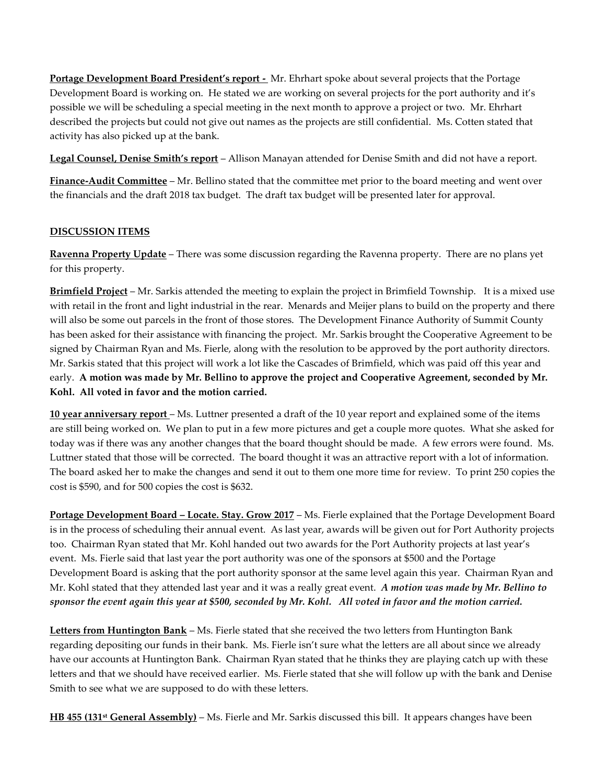**Portage Development Board President's report -** Mr. Ehrhart spoke about several projects that the Portage Development Board is working on. He stated we are working on several projects for the port authority and it's possible we will be scheduling a special meeting in the next month to approve a project or two. Mr. Ehrhart described the projects but could not give out names as the projects are still confidential. Ms. Cotten stated that activity has also picked up at the bank.

**Legal Counsel, Denise Smith's report** – Allison Manayan attended for Denise Smith and did not have a report.

**Finance-Audit Committee** – Mr. Bellino stated that the committee met prior to the board meeting and went over the financials and the draft 2018 tax budget. The draft tax budget will be presented later for approval.

## **DISCUSSION ITEMS**

**Ravenna Property Update** – There was some discussion regarding the Ravenna property. There are no plans yet for this property.

**Brimfield Project** – Mr. Sarkis attended the meeting to explain the project in Brimfield Township. It is a mixed use with retail in the front and light industrial in the rear. Menards and Meijer plans to build on the property and there will also be some out parcels in the front of those stores. The Development Finance Authority of Summit County has been asked for their assistance with financing the project. Mr. Sarkis brought the Cooperative Agreement to be signed by Chairman Ryan and Ms. Fierle, along with the resolution to be approved by the port authority directors. Mr. Sarkis stated that this project will work a lot like the Cascades of Brimfield, which was paid off this year and early. **A motion was made by Mr. Bellino to approve the project and Cooperative Agreement, seconded by Mr. Kohl. All voted in favor and the motion carried.**

**10 year anniversary report** – Ms. Luttner presented a draft of the 10 year report and explained some of the items are still being worked on. We plan to put in a few more pictures and get a couple more quotes. What she asked for today was if there was any another changes that the board thought should be made. A few errors were found. Ms. Luttner stated that those will be corrected. The board thought it was an attractive report with a lot of information. The board asked her to make the changes and send it out to them one more time for review. To print 250 copies the cost is \$590, and for 500 copies the cost is \$632.

**Portage Development Board – Locate. Stay. Grow 2017** – Ms. Fierle explained that the Portage Development Board is in the process of scheduling their annual event. As last year, awards will be given out for Port Authority projects too. Chairman Ryan stated that Mr. Kohl handed out two awards for the Port Authority projects at last year's event. Ms. Fierle said that last year the port authority was one of the sponsors at \$500 and the Portage Development Board is asking that the port authority sponsor at the same level again this year. Chairman Ryan and Mr. Kohl stated that they attended last year and it was a really great event. *A motion was made by Mr. Bellino to sponsor the event again this year at \$500, seconded by Mr. Kohl. All voted in favor and the motion carried.*

**Letters from Huntington Bank** – Ms. Fierle stated that she received the two letters from Huntington Bank regarding depositing our funds in their bank. Ms. Fierle isn't sure what the letters are all about since we already have our accounts at Huntington Bank. Chairman Ryan stated that he thinks they are playing catch up with these letters and that we should have received earlier. Ms. Fierle stated that she will follow up with the bank and Denise Smith to see what we are supposed to do with these letters.

**HB 455 (131st General Assembly)** – Ms. Fierle and Mr. Sarkis discussed this bill. It appears changes have been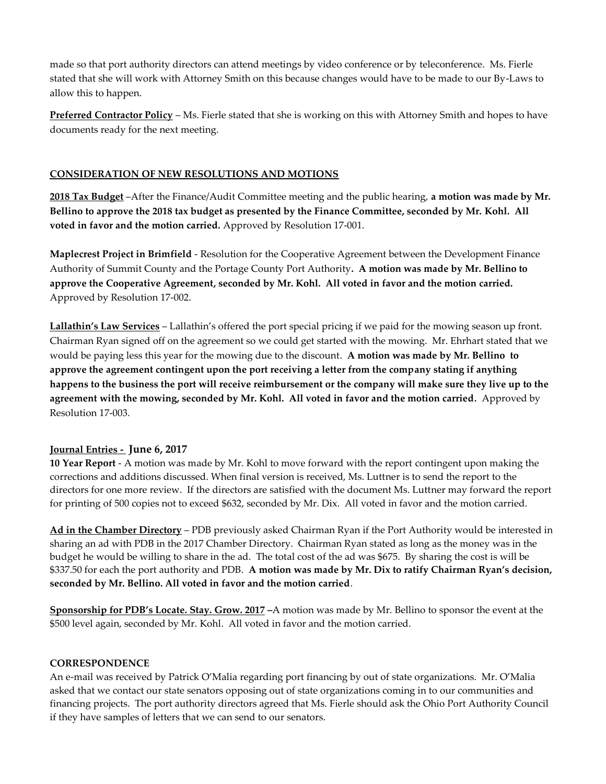made so that port authority directors can attend meetings by video conference or by teleconference. Ms. Fierle stated that she will work with Attorney Smith on this because changes would have to be made to our By-Laws to allow this to happen.

**Preferred Contractor Policy** – Ms. Fierle stated that she is working on this with Attorney Smith and hopes to have documents ready for the next meeting.

## **CONSIDERATION OF NEW RESOLUTIONS AND MOTIONS**

**2018 Tax Budget** –After the Finance/Audit Committee meeting and the public hearing, **a motion was made by Mr. Bellino to approve the 2018 tax budget as presented by the Finance Committee, seconded by Mr. Kohl. All voted in favor and the motion carried.** Approved by Resolution 17-001.

**Maplecrest Project in Brimfield** - Resolution for the Cooperative Agreement between the Development Finance Authority of Summit County and the Portage County Port Authority**. A motion was made by Mr. Bellino to approve the Cooperative Agreement, seconded by Mr. Kohl. All voted in favor and the motion carried.** Approved by Resolution 17-002.

**Lallathin's Law Services** – Lallathin's offered the port special pricing if we paid for the mowing season up front. Chairman Ryan signed off on the agreement so we could get started with the mowing. Mr. Ehrhart stated that we would be paying less this year for the mowing due to the discount. **A motion was made by Mr. Bellino to approve the agreement contingent upon the port receiving a letter from the company stating if anything happens to the business the port will receive reimbursement or the company will make sure they live up to the agreement with the mowing, seconded by Mr. Kohl. All voted in favor and the motion carried***.* Approved by Resolution 17-003.

## **Journal Entries - June 6, 2017**

**10 Year Report** - A motion was made by Mr. Kohl to move forward with the report contingent upon making the corrections and additions discussed. When final version is received, Ms. Luttner is to send the report to the directors for one more review. If the directors are satisfied with the document Ms. Luttner may forward the report for printing of 500 copies not to exceed \$632, seconded by Mr. Dix. All voted in favor and the motion carried.

**Ad in the Chamber Directory** – PDB previously asked Chairman Ryan if the Port Authority would be interested in sharing an ad with PDB in the 2017 Chamber Directory. Chairman Ryan stated as long as the money was in the budget he would be willing to share in the ad. The total cost of the ad was \$675. By sharing the cost is will be \$337.50 for each the port authority and PDB. **A motion was made by Mr. Dix to ratify Chairman Ryan's decision, seconded by Mr. Bellino. All voted in favor and the motion carried**.

**Sponsorship for PDB's Locate. Stay. Grow. 2017 –**A motion was made by Mr. Bellino to sponsor the event at the \$500 level again, seconded by Mr. Kohl. All voted in favor and the motion carried.

### **CORRESPONDENCE**

An e-mail was received by Patrick O'Malia regarding port financing by out of state organizations. Mr. O'Malia asked that we contact our state senators opposing out of state organizations coming in to our communities and financing projects. The port authority directors agreed that Ms. Fierle should ask the Ohio Port Authority Council if they have samples of letters that we can send to our senators.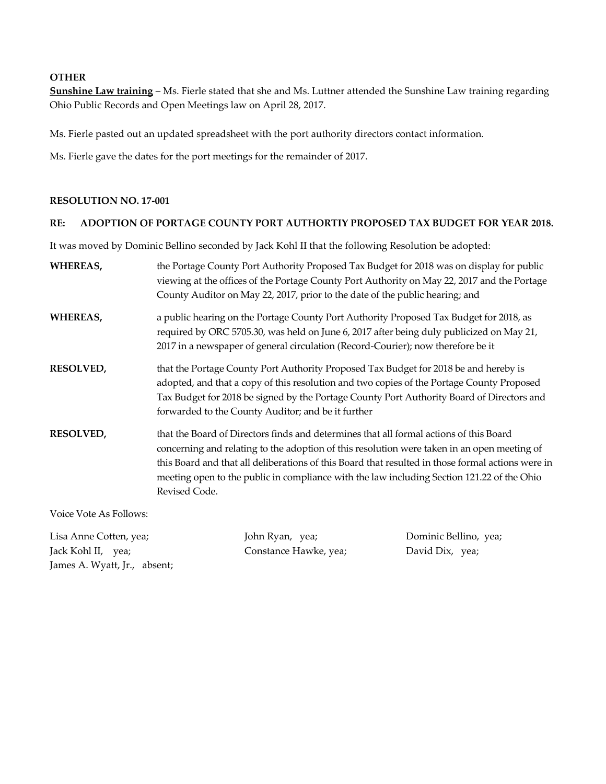### **OTHER**

**Sunshine Law training** – Ms. Fierle stated that she and Ms. Luttner attended the Sunshine Law training regarding Ohio Public Records and Open Meetings law on April 28, 2017.

Ms. Fierle pasted out an updated spreadsheet with the port authority directors contact information.

Ms. Fierle gave the dates for the port meetings for the remainder of 2017.

#### **RESOLUTION NO. 17-001**

### **RE: ADOPTION OF PORTAGE COUNTY PORT AUTHORTIY PROPOSED TAX BUDGET FOR YEAR 2018.**

It was moved by Dominic Bellino seconded by Jack Kohl II that the following Resolution be adopted:

| <b>WHEREAS,</b>        | the Portage County Port Authority Proposed Tax Budget for 2018 was on display for public<br>viewing at the offices of the Portage County Port Authority on May 22, 2017 and the Portage<br>County Auditor on May 22, 2017, prior to the date of the public hearing; and                                                                                                                                   |
|------------------------|-----------------------------------------------------------------------------------------------------------------------------------------------------------------------------------------------------------------------------------------------------------------------------------------------------------------------------------------------------------------------------------------------------------|
| <b>WHEREAS,</b>        | a public hearing on the Portage County Port Authority Proposed Tax Budget for 2018, as<br>required by ORC 5705.30, was held on June 6, 2017 after being duly publicized on May 21,<br>2017 in a newspaper of general circulation (Record-Courier); now therefore be it                                                                                                                                    |
| <b>RESOLVED,</b>       | that the Portage County Port Authority Proposed Tax Budget for 2018 be and hereby is<br>adopted, and that a copy of this resolution and two copies of the Portage County Proposed<br>Tax Budget for 2018 be signed by the Portage County Port Authority Board of Directors and<br>forwarded to the County Auditor; and be it further                                                                      |
| <b>RESOLVED,</b>       | that the Board of Directors finds and determines that all formal actions of this Board<br>concerning and relating to the adoption of this resolution were taken in an open meeting of<br>this Board and that all deliberations of this Board that resulted in those formal actions were in<br>meeting open to the public in compliance with the law including Section 121.22 of the Ohio<br>Revised Code. |
| Voice Vote As Follows: |                                                                                                                                                                                                                                                                                                                                                                                                           |

Lisa Anne Cotten, yea; John Ryan, yea; Dominic Bellino, yea; Jack Kohl II, yea; Constance Hawke, yea; David Dix, yea; James A. Wyatt, Jr., absent;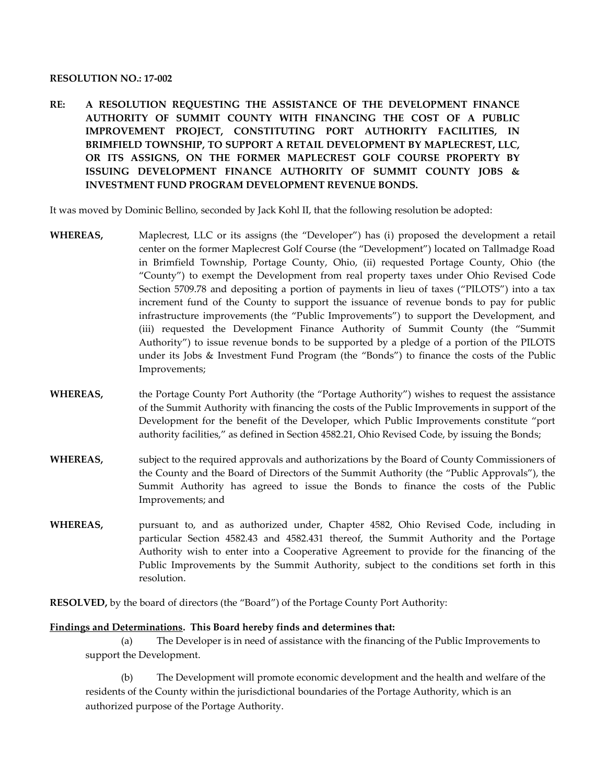#### **RESOLUTION NO.: 17-002**

**RE: A RESOLUTION REQUESTING THE ASSISTANCE OF THE DEVELOPMENT FINANCE AUTHORITY OF SUMMIT COUNTY WITH FINANCING THE COST OF A PUBLIC IMPROVEMENT PROJECT, CONSTITUTING PORT AUTHORITY FACILITIES, IN BRIMFIELD TOWNSHIP, TO SUPPORT A RETAIL DEVELOPMENT BY MAPLECREST, LLC, OR ITS ASSIGNS, ON THE FORMER MAPLECREST GOLF COURSE PROPERTY BY ISSUING DEVELOPMENT FINANCE AUTHORITY OF SUMMIT COUNTY JOBS & INVESTMENT FUND PROGRAM DEVELOPMENT REVENUE BONDS.**

It was moved by Dominic Bellino, seconded by Jack Kohl II, that the following resolution be adopted:

- **WHEREAS,** Maplecrest, LLC or its assigns (the "Developer") has (i) proposed the development a retail center on the former Maplecrest Golf Course (the "Development") located on Tallmadge Road in Brimfield Township, Portage County, Ohio, (ii) requested Portage County, Ohio (the "County") to exempt the Development from real property taxes under Ohio Revised Code Section 5709.78 and depositing a portion of payments in lieu of taxes ("PILOTS") into a tax increment fund of the County to support the issuance of revenue bonds to pay for public infrastructure improvements (the "Public Improvements") to support the Development, and (iii) requested the Development Finance Authority of Summit County (the "Summit Authority") to issue revenue bonds to be supported by a pledge of a portion of the PILOTS under its Jobs & Investment Fund Program (the "Bonds") to finance the costs of the Public Improvements;
- **WHEREAS,** the Portage County Port Authority (the "Portage Authority") wishes to request the assistance of the Summit Authority with financing the costs of the Public Improvements in support of the Development for the benefit of the Developer, which Public Improvements constitute "port authority facilities," as defined in Section 4582.21, Ohio Revised Code, by issuing the Bonds;
- **WHEREAS,** subject to the required approvals and authorizations by the Board of County Commissioners of the County and the Board of Directors of the Summit Authority (the "Public Approvals"), the Summit Authority has agreed to issue the Bonds to finance the costs of the Public Improvements; and
- **WHEREAS,** pursuant to, and as authorized under, Chapter 4582, Ohio Revised Code, including in particular Section 4582.43 and 4582.431 thereof, the Summit Authority and the Portage Authority wish to enter into a Cooperative Agreement to provide for the financing of the Public Improvements by the Summit Authority, subject to the conditions set forth in this resolution.

**RESOLVED,** by the board of directors (the "Board") of the Portage County Port Authority:

### **Findings and Determinations. This Board hereby finds and determines that:**

(a) The Developer is in need of assistance with the financing of the Public Improvements to support the Development.

(b) The Development will promote economic development and the health and welfare of the residents of the County within the jurisdictional boundaries of the Portage Authority, which is an authorized purpose of the Portage Authority.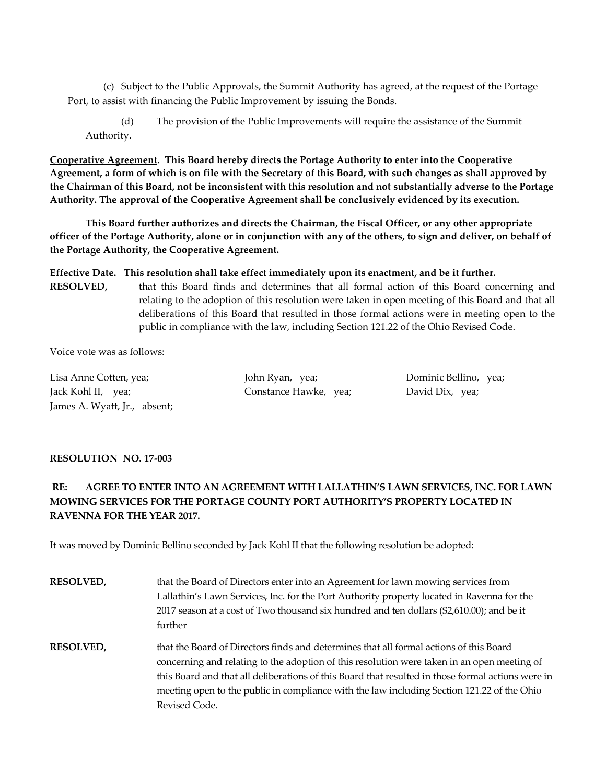(c) Subject to the Public Approvals, the Summit Authority has agreed, at the request of the Portage Port, to assist with financing the Public Improvement by issuing the Bonds.

(d) The provision of the Public Improvements will require the assistance of the Summit Authority.

**Cooperative Agreement. This Board hereby directs the Portage Authority to enter into the Cooperative Agreement, a form of which is on file with the Secretary of this Board, with such changes as shall approved by the Chairman of this Board, not be inconsistent with this resolution and not substantially adverse to the Portage Authority. The approval of the Cooperative Agreement shall be conclusively evidenced by its execution.**

**This Board further authorizes and directs the Chairman, the Fiscal Officer, or any other appropriate officer of the Portage Authority, alone or in conjunction with any of the others, to sign and deliver, on behalf of the Portage Authority, the Cooperative Agreement.**

**Effective Date. This resolution shall take effect immediately upon its enactment, and be it further.**

**RESOLVED,** that this Board finds and determines that all formal action of this Board concerning and relating to the adoption of this resolution were taken in open meeting of this Board and that all deliberations of this Board that resulted in those formal actions were in meeting open to the public in compliance with the law, including Section 121.22 of the Ohio Revised Code.

Voice vote was as follows:

Lisa Anne Cotten, yea; John Ryan, yea; Dominic Bellino, yea; Jack Kohl II, yea; Constance Hawke, yea; David Dix, yea; James A. Wyatt, Jr., absent;

# **RESOLUTION NO. 17-003**

# **RE: AGREE TO ENTER INTO AN AGREEMENT WITH LALLATHIN'S LAWN SERVICES, INC. FOR LAWN MOWING SERVICES FOR THE PORTAGE COUNTY PORT AUTHORITY'S PROPERTY LOCATED IN RAVENNA FOR THE YEAR 2017.**

It was moved by Dominic Bellino seconded by Jack Kohl II that the following resolution be adopted:

| <b>RESOLVED,</b> | that the Board of Directors enter into an Agreement for lawn mowing services from<br>Lallathin's Lawn Services, Inc. for the Port Authority property located in Ravenna for the<br>2017 season at a cost of Two thousand six hundred and ten dollars (\$2,610.00); and be it                                                                                                                              |
|------------------|-----------------------------------------------------------------------------------------------------------------------------------------------------------------------------------------------------------------------------------------------------------------------------------------------------------------------------------------------------------------------------------------------------------|
|                  | further                                                                                                                                                                                                                                                                                                                                                                                                   |
| <b>RESOLVED,</b> | that the Board of Directors finds and determines that all formal actions of this Board<br>concerning and relating to the adoption of this resolution were taken in an open meeting of<br>this Board and that all deliberations of this Board that resulted in those formal actions were in<br>meeting open to the public in compliance with the law including Section 121.22 of the Ohio<br>Revised Code. |